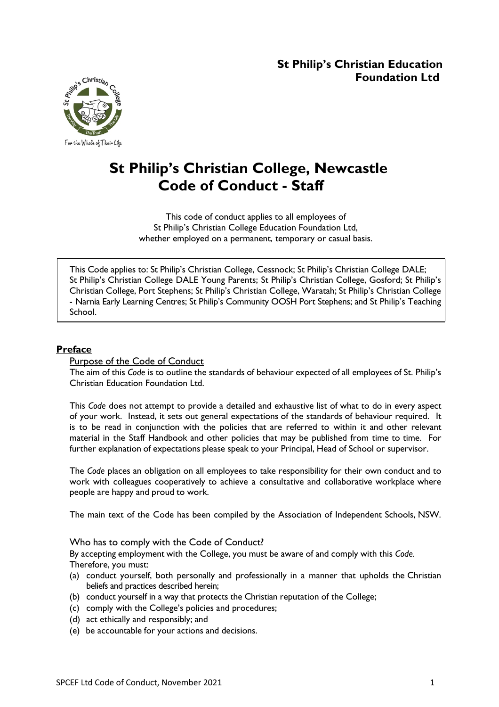# **St Philip's Christian Education Foundation Ltd**



# **St Philip's Christian College, Newcastle Code of Conduct - Staff**

This code of conduct applies to all employees of St Philip's Christian College Education Foundation Ltd, whether employed on a permanent, temporary or casual basis.

This Code applies to: St Philip's Christian College, Cessnock; St Philip's Christian College DALE; St Philip's Christian College DALE Young Parents; St Philip's Christian College, Gosford; St Philip's Christian College, Port Stephens; St Philip's Christian College, Waratah; St Philip's Christian College - Narnia Early Learning Centres; St Philip's Community OOSH Port Stephens; and St Philip's Teaching School.

# **Preface**

## Purpose of the Code of Conduct

The aim of this *Code* is to outline the standards of behaviour expected of all employees of St. Philip's Christian Education Foundation Ltd.

This *Code* does not attempt to provide a detailed and exhaustive list of what to do in every aspect of your work. Instead, it sets out general expectations of the standards of behaviour required. It is to be read in conjunction with the policies that are referred to within it and other relevant material in the Staff Handbook and other policies that may be published from time to time. For further explanation of expectations please speak to your Principal, Head of School or supervisor.

The *Code* places an obligation on all employees to take responsibility for their own conduct and to work with colleagues cooperatively to achieve a consultative and collaborative workplace where people are happy and proud to work.

The main text of the Code has been compiled by the Association of Independent Schools, NSW.

## Who has to comply with the Code of Conduct?

By accepting employment with the College, you must be aware of and comply with this *Code.* Therefore, you must:

- (a) conduct yourself, both personally and professionally in a manner that upholds the Christian beliefs and practices described herein;
- (b) conduct yourself in a way that protects the Christian reputation of the College;
- (c) comply with the College's policies and procedures;
- (d) act ethically and responsibly; and
- (e) be accountable for your actions and decisions.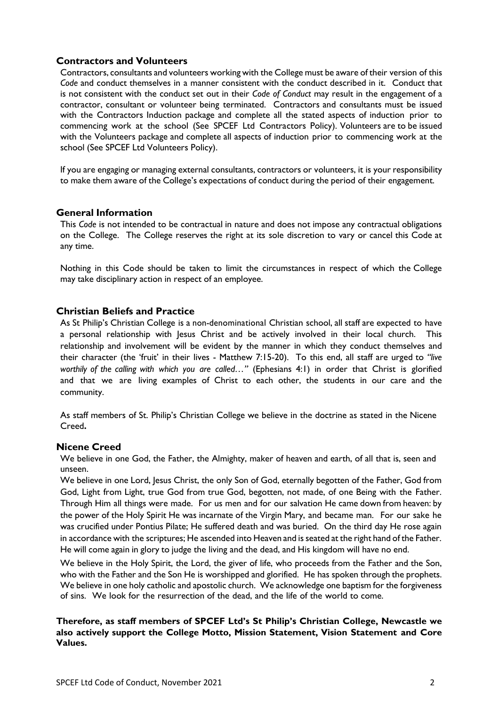## **Contractors and Volunteers**

Contractors, consultants and volunteers working with the College must be aware of their version of this *Code* and conduct themselves in a manner consistent with the conduct described in it. Conduct that is not consistent with the conduct set out in their *Code of Conduct* may result in the engagement of a contractor, consultant or volunteer being terminated. Contractors and consultants must be issued with the Contractors Induction package and complete all the stated aspects of induction prior to commencing work at the school (See SPCEF Ltd Contractors Policy). Volunteers are to be issued with the Volunteers package and complete all aspects of induction prior to commencing work at the school (See SPCEF Ltd Volunteers Policy).

If you are engaging or managing external consultants, contractors or volunteers, it is your responsibility to make them aware of the College's expectations of conduct during the period of their engagement.

## **General Information**

This *Code* is not intended to be contractual in nature and does not impose any contractual obligations on the College. The College reserves the right at its sole discretion to vary or cancel this Code at any time.

Nothing in this Code should be taken to limit the circumstances in respect of which the College may take disciplinary action in respect of an employee.

#### **Christian Beliefs and Practice**

As St Philip's Christian College is a non-denominational Christian school, all staff are expected to have a personal relationship with Jesus Christ and be actively involved in their local church. This relationship and involvement will be evident by the manner in which they conduct themselves and their character (the 'fruit' in their lives - Matthew 7:15-20). To this end, all staff are urged to *"live worthily of the calling with which you are called…"* (Ephesians 4:1) in order that Christ is glorified and that we are living examples of Christ to each other, the students in our care and the community.

As staff members of St. Philip's Christian College we believe in the doctrine as stated in the Nicene Creed**.**

#### **Nicene Creed**

We believe in one God, the Father, the Almighty, maker of heaven and earth, of all that is, seen and unseen.

We believe in one Lord, Jesus Christ, the only Son of God, eternally begotten of the Father, God from God, Light from Light, true God from true God, begotten, not made, of one Being with the Father. Through Him all things were made. For us men and for our salvation He came down from heaven: by the power of the Holy Spirit He was incarnate of the Virgin Mary, and became man. For our sake he was crucified under Pontius Pilate; He suffered death and was buried. On the third day He rose again in accordance with the scriptures; He ascended into Heaven and is seated at the right hand of the Father. He will come again in glory to judge the living and the dead, and His kingdom will have no end.

We believe in the Holy Spirit, the Lord, the giver of life, who proceeds from the Father and the Son, who with the Father and the Son He is worshipped and glorified. He has spoken through the prophets. We believe in one holy catholic and apostolic church. We acknowledge one baptism for the forgiveness of sins. We look for the resurrection of the dead, and the life of the world to come.

#### **Therefore, as staff members of SPCEF Ltd's St Philip's Christian College, Newcastle we also actively support the College Motto, Mission Statement, Vision Statement and Core Values.**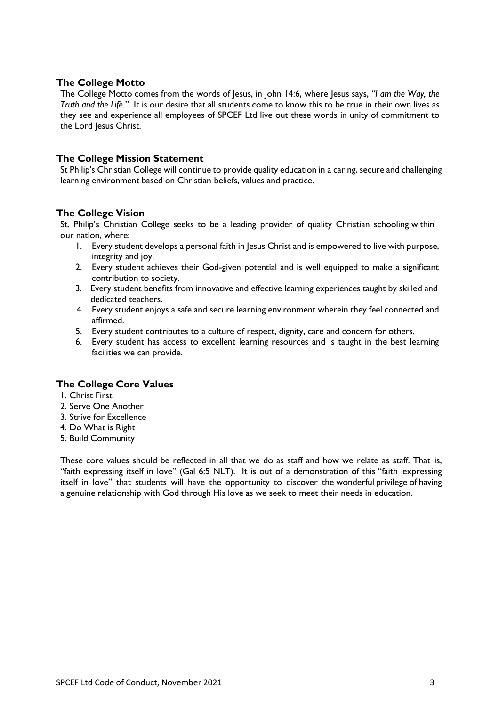## **The College Motto**

The College Motto comes from the words of Jesus, in John 14:6, where Jesus says, *"I am the Way, the Truth and the Life."* It is our desire that all students come to know this to be true in their own lives as they see and experience all employees of SPCEF Ltd live out these words in unity of commitment to the Lord Jesus Christ.

## **The College Mission Statement**

St Philip's Christian College will continue to provide quality education in a caring, secure and challenging learning environment based on Christian beliefs, values and practice.

## **The College Vision**

St. Philip's Christian College seeks to be a leading provider of quality Christian schooling within our nation, where:

- 1. Every student develops a personal faith in Jesus Christ and is empowered to live with purpose, integrity and joy.
- 2. Every student achieves their God-given potential and is well equipped to make a significant contribution to society.
- 3. Every student benefits from innovative and effective learning experiences taught by skilled and dedicated teachers.
- 4. Every student enjoys a safe and secure learning environment wherein they feel connected and affirmed.
- 5. Every student contributes to a culture of respect, dignity, care and concern for others.
- 6. Every student has access to excellent learning resources and is taught in the best learning facilities we can provide.

## **The College Core Values**

1. Christ First

- 2. Serve One Another
- 3. Strive for Excellence
- 4. Do What is Right
- 5. Build Community

These core values should be reflected in all that we do as staff and how we relate as staff. That is, "faith expressing itself in love" (Gal 6:5 NLT). It is out of a demonstration of this "faith expressing itself in love" that students will have the opportunity to discover the wonderful privilege of having a genuine relationship with God through His love as we seek to meet their needs in education.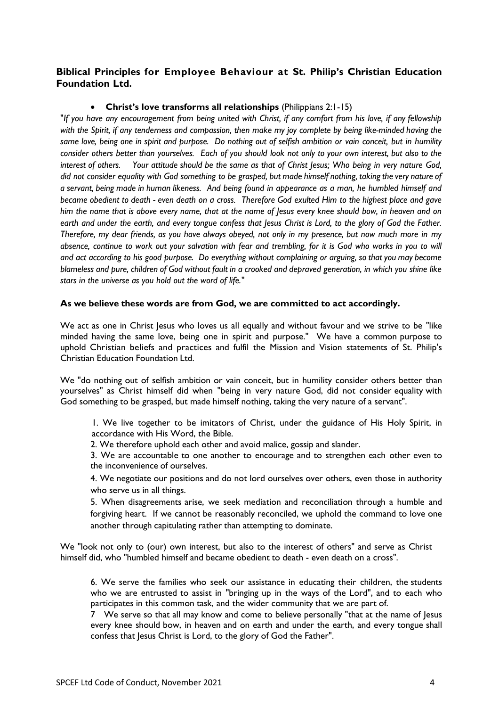## **Biblical Principles for Employee Behaviour at St. Philip's Christian Education Foundation Ltd.**

#### • **Christ's love transforms all relationships** (Philippians 2:1-15)

"If you have any encouragement from being united with Christ, if any comfort from his love, if any fellowship *with the Spirit, if any tenderness and compassion, then make my joy complete by being like-minded having the* same love, being one in spirit and purpose. Do nothing out of selfish ambition or vain conceit, but in humility consider others better than yourselves. Each of you should look not only to your own interest, but also to the interest of others. Your attitude should be the same as that of Christ Jesus; Who being in very nature God, did not consider equality with God something to be grasped, but made himself nothing, taking the very nature of a servant, being made in human likeness. And being found in appearance as a man, he humbled himself and *became obedient to death - even death on a cross. Therefore God exulted Him to the highest place and gave* him the name that is above every name, that at the name of Jesus every knee should bow, in heaven and on earth and under the earth, and every tongue confess that Jesus Christ is Lord, to the glory of God the Father. Therefore, my dear friends, as you have always obeyed, not only in my presence, but now much more in my absence, continue to work out your salvation with fear and trembling, for it is God who works in you to will *and act according to his good purpose. Do everything without complaining or arguing, so that you may become* blameless and pure, children of God without fault in a crooked and depraved generation, in which you shine like *stars in the universe as you hold out the word of life."*

#### **As we believe these words are from God, we are committed to act accordingly.**

We act as one in Christ Jesus who loves us all equally and without favour and we strive to be "like minded having the same love, being one in spirit and purpose." We have a common purpose to uphold Christian beliefs and practices and fulfil the Mission and Vision statements of St. Philip's Christian Education Foundation Ltd.

We "do nothing out of selfish ambition or vain conceit, but in humility consider others better than yourselves" as Christ himself did when "being in very nature God, did not consider equality with God something to be grasped, but made himself nothing, taking the very nature of a servant".

1. We live together to be imitators of Christ, under the guidance of His Holy Spirit, in accordance with His Word, the Bible.

2. We therefore uphold each other and avoid malice, gossip and slander.

3. We are accountable to one another to encourage and to strengthen each other even to the inconvenience of ourselves.

4. We negotiate our positions and do not lord ourselves over others, even those in authority who serve us in all things.

5. When disagreements arise, we seek mediation and reconciliation through a humble and forgiving heart. If we cannot be reasonably reconciled, we uphold the command to love one another through capitulating rather than attempting to dominate.

We "look not only to (our) own interest, but also to the interest of others" and serve as Christ himself did, who "humbled himself and became obedient to death - even death on a cross".

6. We serve the families who seek our assistance in educating their children, the students who we are entrusted to assist in "bringing up in the ways of the Lord", and to each who participates in this common task, and the wider community that we are part of.

7 We serve so that all may know and come to believe personally "that at the name of Jesus every knee should bow, in heaven and on earth and under the earth, and every tongue shall confess that Jesus Christ is Lord, to the glory of God the Father".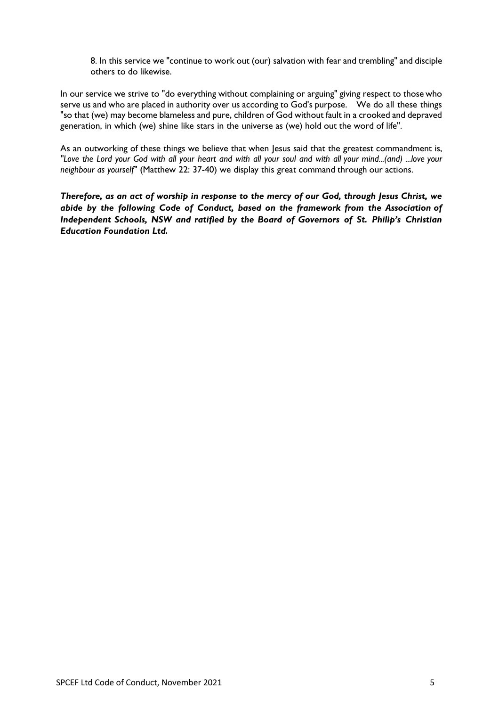8. In this service we "continue to work out (our) salvation with fear and trembling" and disciple others to do likewise.

In our service we strive to "do everything without complaining or arguing" giving respect to those who serve us and who are placed in authority over us according to God's purpose. We do all these things "so that (we) may become blameless and pure, children of God without fault in a crooked and depraved generation, in which (we) shine like stars in the universe as (we) hold out the word of life".

As an outworking of these things we believe that when Jesus said that the greatest commandment is, "Love the Lord your God with all your heart and with all your soul and with all your mind...(and) ...love your *neighbour as yourself"* (Matthew 22: 37-40) we display this great command through our actions.

*Therefore, as an act of worship in response to the mercy of our God, through Jesus Christ, we abide by the following Code of Conduct, based on the framework from the Association of Independent Schools, NSW and ratified by the Board of Governors of St. Philip's Christian Education Foundation Ltd.*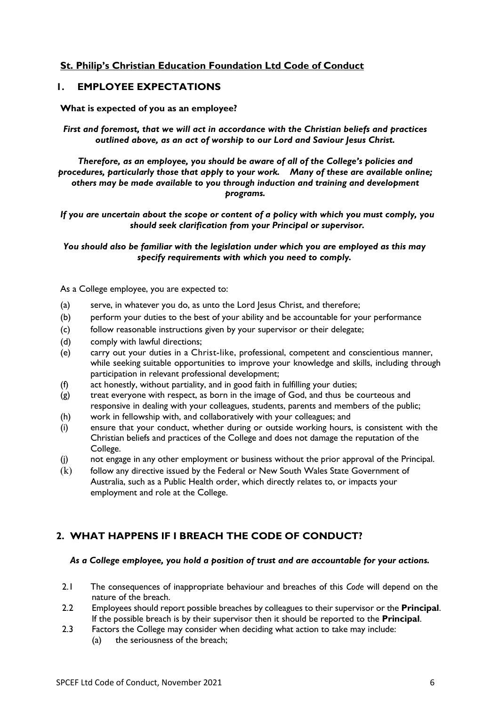## **St. Philip's Christian Education Foundation Ltd Code of Conduct**

## **1. EMPLOYEE EXPECTATIONS**

#### **What is expected of you as an employee?**

*First and foremost, that we will act in accordance with the Christian beliefs and practices outlined above, as an act of worship to our Lord and Saviour Jesus Christ.*

*Therefore, as an employee, you should be aware of all of the College's policies and procedures, particularly those that apply to your work. Many of these are available online; others may be made available to you through induction and training and development programs.*

*If you are uncertain about the scope or content of a policy with which you must comply, you should seek clarification from your Principal or supervisor.*

*You should also be familiar with the legislation under which you are employed as this may specify requirements with which you need to comply.*

As a College employee, you are expected to:

- (a) serve, in whatever you do, as unto the Lord Jesus Christ, and therefore;
- (b) perform your duties to the best of your ability and be accountable for your performance
- (c) follow reasonable instructions given by your supervisor or their delegate;
- (d) comply with lawful directions;
- (e) carry out your duties in a Christ-like, professional, competent and conscientious manner, while seeking suitable opportunities to improve your knowledge and skills, including through participation in relevant professional development;
- (f) act honestly, without partiality, and in good faith in fulfilling your duties;
- (g) treat everyone with respect, as born in the image of God, and thus be courteous and responsive in dealing with your colleagues, students, parents and members of the public;
- (h) work in fellowship with, and collaboratively with your colleagues; and
- (i) ensure that your conduct, whether during or outside working hours, is consistent with the Christian beliefs and practices of the College and does not damage the reputation of the College.
- (j) not engage in any other employment or business without the prior approval of the Principal.
- (k) follow any directive issued by the Federal or New South Wales State Government of Australia, such as a Public Health order, which directly relates to, or impacts your employment and role at the College.

## **2. WHAT HAPPENS IF I BREACH THE CODE OF CONDUCT?**

#### *As a College employee, you hold a position of trust and are accountable for your actions.*

- 2.1 The consequences of inappropriate behaviour and breaches of this *Code* will depend on the nature of the breach.
- 2.2 Employees should report possible breaches by colleagues to their supervisor or the **Principal**. If the possible breach is by their supervisor then it should be reported to the **Principal**.
- 2.3 Factors the College may consider when deciding what action to take may include:
	- (a) the seriousness of the breach;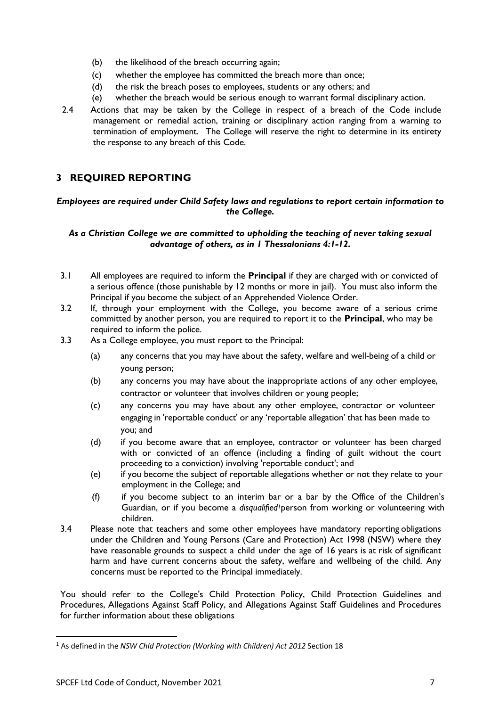- (b) the likelihood of the breach occurring again;
- (c) whether the employee has committed the breach more than once;
- (d) the risk the breach poses to employees, students or any others; and
- (e) whether the breach would be serious enough to warrant formal disciplinary action.
- 2.4 Actions that may be taken by the College in respect of a breach of the Code include management or remedial action, training or disciplinary action ranging from a warning to termination of employment. The College will reserve the right to determine in its entirety the response to any breach of this Code.

# **3 REQUIRED REPORTING**

#### *Employees are required under Child Safety laws and regulations to report certain information to the College.*

#### *As a Christian College we are committed to upholding the teaching of never taking sexual advantage of others, as in 1 Thessalonians 4:1-12.*

- 3.1 All employees are required to inform the **Principal** if they are charged with or convicted of a serious offence (those punishable by 12 months or more in jail). You must also inform the Principal if you become the subject of an Apprehended Violence Order.
- 3.2 If, through your employment with the College, you become aware of a serious crime committed by another person, you are required to report it to the **Principal**, who may be required to inform the police.
- 3.3 As a College employee, you must report to the Principal:
	- (a) any concerns that you may have about the safety, welfare and well-being of a child or young person;
	- (b) any concerns you may have about the inappropriate actions of any other employee, contractor or volunteer that involves children or young people;
	- (c) any concerns you may have about any other employee, contractor or volunteer engaging in 'reportable conduct' or any 'reportable allegation' that has been made to you; and
	- (d) if you become aware that an employee, contractor or volunteer has been charged with or convicted of an offence (including a finding of guilt without the court proceeding to a conviction) involving 'reportable conduct'; and
	- (e) if you become the subject of reportable allegations whether or not they relate to your employment in the College; and
	- (f) if you become subject to an interim bar or a bar by the Office of the Children's Guardian, or if you become a *disqualified<sup>1</sup>* person from working or volunteering with children.
- 3.4 Please note that teachers and some other employees have mandatory reporting obligations under the Children and Young Persons (Care and Protection) Act 1998 (NSW) where they have reasonable grounds to suspect a child under the age of 16 years is at risk of significant harm and have current concerns about the safety, welfare and wellbeing of the child. Any concerns must be reported to the Principal immediately.

You should refer to the College's Child Protection Policy, Child Protection Guidelines and Procedures, Allegations Against Staff Policy, and Allegations Against Staff Guidelines and Procedures for further information about these obligations

<sup>1</sup> As defined in the *NSW Chld Protection (Working with Children) Act 2012* Section 18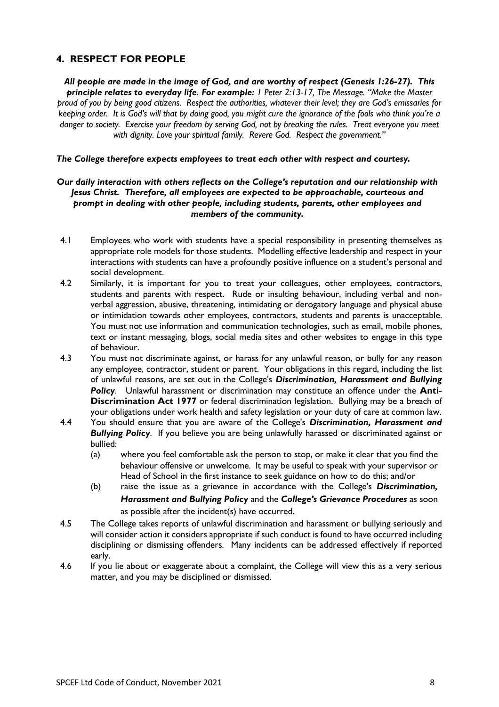# **4. RESPECT FOR PEOPLE**

*All people are made in the image of God, and are worthy of respect (Genesis 1:26-27). This principle relates to everyday life. For example: 1 Peter 2:13-17, The Message. "Make the Master proud of you by being good citizens. Respect the authorities, whatever their level; they are God's emissaries for keeping order. It is God's will that by doing good, you might cure the ignorance of the fools who think you're a danger to society. Exercise your freedom by serving God, not by breaking the rules. Treat everyone you meet with dignity. Love your spiritual family. Revere God. Respect the government."*

#### *The College therefore expects employees to treat each other with respect and courtesy.*

#### *Our daily interaction with others reflects on the College's reputation and our relationship with Jesus Christ. Therefore, all employees are expected to be approachable, courteous and prompt in dealing with other people, including students, parents, other employees and members of the community.*

- 4.1 Employees who work with students have a special responsibility in presenting themselves as appropriate role models for those students. Modelling effective leadership and respect in your interactions with students can have a profoundly positive influence on a student's personal and social development.
- 4.2 Similarly, it is important for you to treat your colleagues, other employees, contractors, students and parents with respect. Rude or insulting behaviour, including verbal and nonverbal aggression, abusive, threatening, intimidating or derogatory language and physical abuse or intimidation towards other employees, contractors, students and parents is unacceptable. You must not use information and communication technologies, such as email, mobile phones, text or instant messaging, blogs, social media sites and other websites to engage in this type of behaviour.
- 4.3 You must not discriminate against, or harass for any unlawful reason, or bully for any reason any employee, contractor, student or parent. Your obligations in this regard, including the list of unlawful reasons, are set out in the College's *Discrimination, Harassment and Bullying Policy*. Unlawful harassment or discrimination may constitute an offence under the **Anti-Discrimination Act 1977** or federal discrimination legislation. Bullying may be a breach of your obligations under work health and safety legislation or your duty of care at common law.
- 4.4 You should ensure that you are aware of the College's *Discrimination, Harassment and Bullying Policy*. If you believe you are being unlawfully harassed or discriminated against or bullied:
	- (a) where you feel comfortable ask the person to stop, or make it clear that you find the behaviour offensive or unwelcome. It may be useful to speak with your supervisor or Head of School in the first instance to seek guidance on how to do this; and/or
	- (b) raise the issue as a grievance in accordance with the College's *Discrimination, Harassment and Bullying Policy* and the *College's Grievance Procedures* as soon as possible after the incident(s) have occurred.
- 4.5 The College takes reports of unlawful discrimination and harassment or bullying seriously and will consider action it considers appropriate if such conduct is found to have occurred including disciplining or dismissing offenders. Many incidents can be addressed effectively if reported early.
- 4.6 If you lie about or exaggerate about a complaint, the College will view this as a very serious matter, and you may be disciplined or dismissed.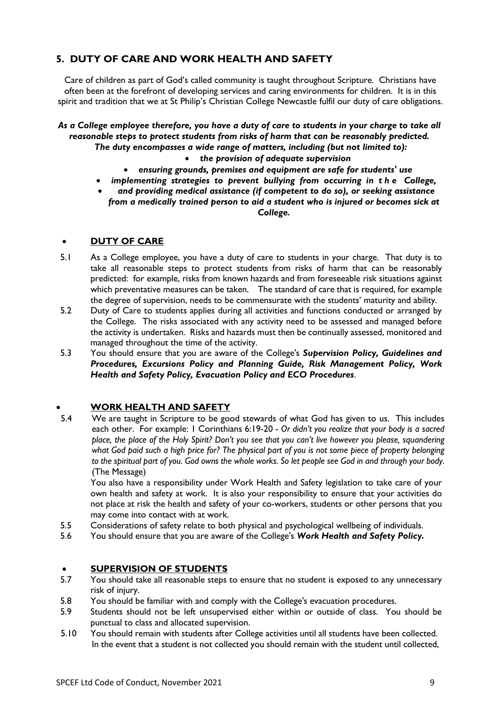# **5. DUTY OF CARE AND WORK HEALTH AND SAFETY**

Care of children as part of God's called community is taught throughout Scripture. Christians have often been at the forefront of developing services and caring environments for children. It is in this spirit and tradition that we at St Philip's Christian College Newcastle fulfil our duty of care obligations.

#### *As a College employee therefore, you have a duty of care to students in your charge to take all reasonable steps to protect students from risks of harm that can be reasonably predicted. The duty encompasses a wide range of matters, including (but not limited to):*

#### • *the provision of adequate supervision*

- *ensuring grounds, premises and equipment are safe for students' use*
- *implementing strategies to prevent bullying from occurring in the College,*
- *and providing medical assistance (if competent to do so), or seeking assistance from a medically trained person to aid a student who is injured or becomes sick at College.*

#### • **DUTY OF CARE**

- 5.1 As a College employee, you have a duty of care to students in your charge. That duty is to take all reasonable steps to protect students from risks of harm that can be reasonably predicted: for example, risks from known hazards and from foreseeable risk situations against which preventative measures can be taken. The standard of care that is required, for example the degree of supervision, needs to be commensurate with the students' maturity and ability.
- 5.2 Duty of Care to students applies during all activities and functions conducted or arranged by the College. The risks associated with any activity need to be assessed and managed before the activity is undertaken. Risks and hazards must then be continually assessed, monitored and managed throughout the time of the activity.
- 5.3 You should ensure that you are aware of the College's *Supervision Policy, Guidelines and Procedures, Excursions Policy and Planning Guide, Risk Management Policy, Work Health and Safety Policy, Evacuation Policy and ECO Procedures*.

## • **WORK HEALTH AND SAFETY**

5.4 We are taught in Scripture to be good stewards of what God has given to us. This includes each other. For example: 1 Corinthians 6:19-20 - *Or didn't you realize that your body is a sacred place, the place of the Holy Spirit? Don't you see that you can't live however you please, squandering what God paid such a high price for? The physical part of you is not some piece of property belonging to the spiritual part of you. God owns the whole works. So let people see God in and through your body.*  (The Message)

You also have a responsibility under Work Health and Safety legislation to take care of your own health and safety at work. It is also your responsibility to ensure that your activities do not place at risk the health and safety of your co-workers, students or other persons that you may come into contact with at work.

- 5.5 Considerations of safety relate to both physical and psychological wellbeing of individuals.
- 5.6 You should ensure that you are aware of the College's *Work Health and Safety Policy.*

# **• SUPERVISION OF STUDENTS**<br>5.7 You should take all reasonable steps

- 5.7 You should take all reasonable steps to ensure that no student is exposed to any unnecessary risk of injury.
- 5.8 You should be familiar with and comply with the College's evacuation procedures.
- 5.9 Students should not be left unsupervised either within or outside of class. You should be punctual to class and allocated supervision.
- 5.10 You should remain with students after College activities until all students have been collected. In the event that a student is not collected you should remain with the student until collected,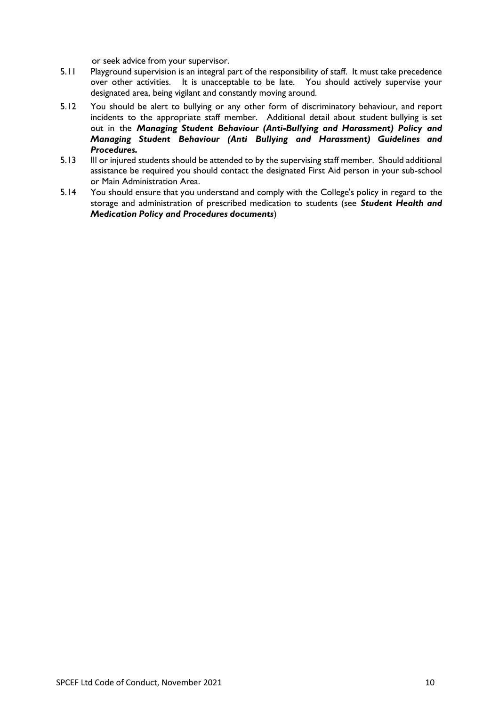or seek advice from your supervisor.

- 5.11 Playground supervision is an integral part of the responsibility of staff. It must take precedence over other activities. It is unacceptable to be late. You should actively supervise your designated area, being vigilant and constantly moving around.
- 5.12 You should be alert to bullying or any other form of discriminatory behaviour, and report incidents to the appropriate staff member. Additional detail about student bullying is set out in the *Managing Student Behaviour (Anti-Bullying and Harassment) Policy and Managing Student Behaviour (Anti Bullying and Harassment) Guidelines and Procedures.*
- 5.13 Ill or injured students should be attended to by the supervising staff member. Should additional assistance be required you should contact the designated First Aid person in your sub-school or Main Administration Area.
- 5.14 You should ensure that you understand and comply with the College's policy in regard to the storage and administration of prescribed medication to students (see *Student Health and Medication Policy and Procedures documents*)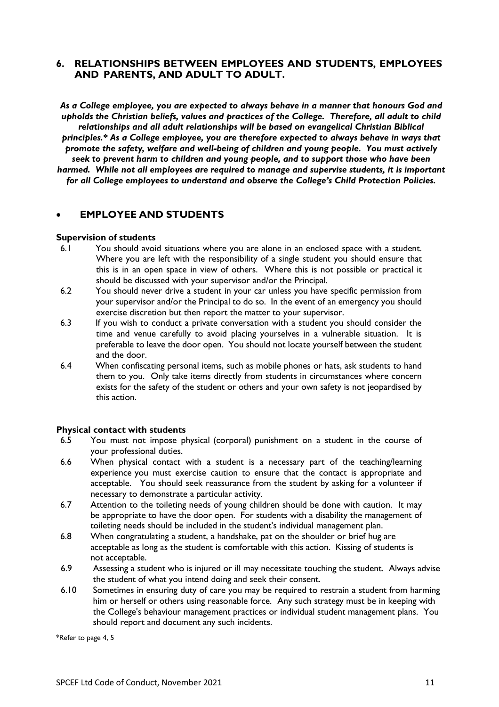## **6. RELATIONSHIPS BETWEEN EMPLOYEES AND STUDENTS, EMPLOYEES AND PARENTS, AND ADULT TO ADULT.**

*As a College employee, you are expected to always behave in a manner that honours God and upholds the Christian beliefs, values and practices of the College. Therefore, all adult to child relationships and all adult relationships will be based on evangelical Christian Biblical principles.\* As a College employee, you are therefore expected to always behave in ways that promote the safety, welfare and well-being of children and young people. You must actively seek to prevent harm to children and young people, and to support those who have been harmed. While not all employees are required to manage and supervise students, it is important for all College employees to understand and observe the College's Child Protection Policies.*

## • **EMPLOYEE AND STUDENTS**

#### **Supervision of students**

- 6.1 You should avoid situations where you are alone in an enclosed space with a student. Where you are left with the responsibility of a single student you should ensure that this is in an open space in view of others. Where this is not possible or practical it should be discussed with your supervisor and/or the Principal.
- 6.2 You should never drive a student in your car unless you have specific permission from your supervisor and/or the Principal to do so. In the event of an emergency you should exercise discretion but then report the matter to your supervisor.
- 6.3 If you wish to conduct a private conversation with a student you should consider the time and venue carefully to avoid placing yourselves in a vulnerable situation. It is preferable to leave the door open. You should not locate yourself between the student and the door.
- 6.4 When confiscating personal items, such as mobile phones or hats, ask students to hand them to you. Only take items directly from students in circumstances where concern exists for the safety of the student or others and your own safety is not jeopardised by this action.

#### **Physical contact with students**

- 6.5 You must not impose physical (corporal) punishment on a student in the course of your professional duties.
- 6.6 When physical contact with a student is a necessary part of the teaching/learning experience you must exercise caution to ensure that the contact is appropriate and acceptable. You should seek reassurance from the student by asking for a volunteer if necessary to demonstrate a particular activity.
- 6.7 Attention to the toileting needs of young children should be done with caution. It may be appropriate to have the door open. For students with a disability the management of toileting needs should be included in the student's individual management plan.
- 6.8 When congratulating a student, a handshake, pat on the shoulder or brief hug are acceptable as long as the student is comfortable with this action. Kissing of students is not acceptable.
- 6.9 Assessing a student who is injured or ill may necessitate touching the student. Always advise the student of what you intend doing and seek their consent.
- 6.10 Sometimes in ensuring duty of care you may be required to restrain a student from harming him or herself or others using reasonable force. Any such strategy must be in keeping with the College's behaviour management practices or individual student management plans. You should report and document any such incidents.

\*Refer to page 4, 5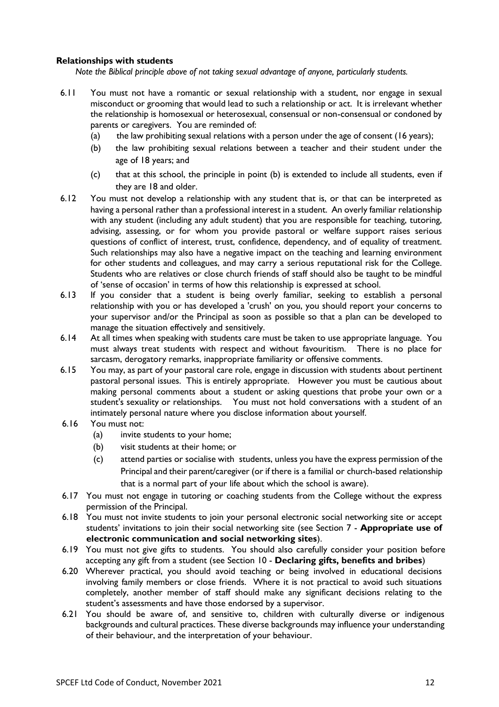#### **Relationships with students**

*Note the Biblical principle above of not taking sexual advantage of anyone, particularly students.*

- 6.11 You must not have a romantic or sexual relationship with a student, nor engage in sexual misconduct or grooming that would lead to such a relationship or act. It is irrelevant whether the relationship is homosexual or heterosexual, consensual or non-consensual or condoned by parents or caregivers. You are reminded of:
	- (a) the law prohibiting sexual relations with a person under the age of consent (16 years);
	- (b) the law prohibiting sexual relations between a teacher and their student under the age of 18 years; and
	- (c) that at this school, the principle in point (b) is extended to include all students, even if they are 18 and older.
- 6.12 You must not develop a relationship with any student that is, or that can be interpreted as having a personal rather than a professional interest in a student. An overly familiar relationship with any student (including any adult student) that you are responsible for teaching, tutoring, advising, assessing, or for whom you provide pastoral or welfare support raises serious questions of conflict of interest, trust, confidence, dependency, and of equality of treatment. Such relationships may also have a negative impact on the teaching and learning environment for other students and colleagues, and may carry a serious reputational risk for the College. Students who are relatives or close church friends of staff should also be taught to be mindful of 'sense of occasion' in terms of how this relationship is expressed at school.
- 6.13 If you consider that a student is being overly familiar, seeking to establish a personal relationship with you or has developed a 'crush' on you, you should report your concerns to your supervisor and/or the Principal as soon as possible so that a plan can be developed to manage the situation effectively and sensitively.
- 6.14 At all times when speaking with students care must be taken to use appropriate language. You must always treat students with respect and without favouritism. There is no place for sarcasm, derogatory remarks, inappropriate familiarity or offensive comments.
- 6.15 You may, as part of your pastoral care role, engage in discussion with students about pertinent pastoral personal issues. This is entirely appropriate. However you must be cautious about making personal comments about a student or asking questions that probe your own or a student's sexuality or relationships. You must not hold conversations with a student of an intimately personal nature where you disclose information about yourself.
- 6.16 You must not:
	- (a) invite students to your home;
	- (b) visit students at their home; or
	- (c) attend parties or socialise with students, unless you have the express permission of the Principal and their parent/caregiver (or if there is a familial or church-based relationship that is a normal part of your life about which the school is aware).
- 6.17 You must not engage in tutoring or coaching students from the College without the express permission of the Principal.
- 6.18 You must not invite students to join your personal electronic social networking site or accept students' invitations to join their social networking site (see Section 7 - **Appropriate use of electronic communication and social networking sites**).
- 6.19 You must not give gifts to students. You should also carefully consider your position before accepting any gift from a student (see Section 10 - **Declaring gifts, benefits and bribes**)
- 6.20 Wherever practical, you should avoid teaching or being involved in educational decisions involving family members or close friends. Where it is not practical to avoid such situations completely, another member of staff should make any significant decisions relating to the student's assessments and have those endorsed by a supervisor.
- 6.21 You should be aware of, and sensitive to, children with culturally diverse or indigenous backgrounds and cultural practices. These diverse backgrounds may influence your understanding of their behaviour, and the interpretation of your behaviour.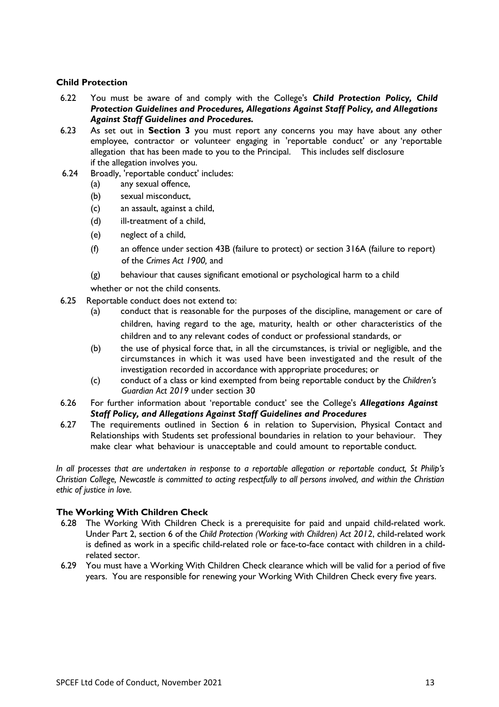#### **Child Protection**

- 6.22 You must be aware of and comply with the College's *Child Protection Policy, Child Protection Guidelines and Procedures, Allegations Against Staff Policy, and Allegations Against Staff Guidelines and Procedures.*
- 6.23 As set out in **Section 3** you must report any concerns you may have about any other employee, contractor or volunteer engaging in 'reportable conduct' or any 'reportable allegation that has been made to you to the Principal. This includes self disclosure if the allegation involves you.
- 6.24 Broadly, 'reportable conduct' includes:
	- (a) any sexual offence,
	- (b) sexual misconduct,
	- (c) an assault, against a child,
	- (d) ill-treatment of a child,
	- (e) neglect of a child,
	- (f) an offence under section 43B (failure to protect) or section 316A (failure to report) of the *Crimes Act 1900,* and
	- (g) behaviour that causes significant emotional or psychological harm to a child

whether or not the child consents.

- 6.25 Reportable conduct does not extend to:
	- (a) conduct that is reasonable for the purposes of the discipline, management or care of children, having regard to the age, maturity, health or other characteristics of the children and to any relevant codes of conduct or professional standards, or
	- (b) the use of physical force that, in all the circumstances, is trivial or negligible, and the circumstances in which it was used have been investigated and the result of the investigation recorded in accordance with appropriate procedures; or
	- (c) conduct of a class or kind exempted from being reportable conduct by the *Children's Guardian Act 2019* under section 30
- 6.26 For further information about 'reportable conduct' see the College's *Allegations Against Staff Policy, and Allegations Against Staff Guidelines and Procedures*
- 6.27 The requirements outlined in Section 6 in relation to Supervision, Physical Contact and Relationships with Students set professional boundaries in relation to your behaviour. They make clear what behaviour is unacceptable and could amount to reportable conduct.

*In all processes that are undertaken in response to a reportable allegation or reportable conduct, St Philip's Christian College, Newcastle is committed to acting respectfully to all persons involved, and within the Christian ethic of justice in love.*

## **The Working With Children Check**

- 6.28 The Working With Children Check is a prerequisite for paid and unpaid child-related work. Under Part 2, section 6 of the *Child Protection (Working with Children) Act 2012*, child-related work is defined as work in a specific child-related role or face-to-face contact with children in a childrelated sector.
- 6.29 You must have a Working With Children Check clearance which will be valid for a period of five years. You are responsible for renewing your Working With Children Check every five years.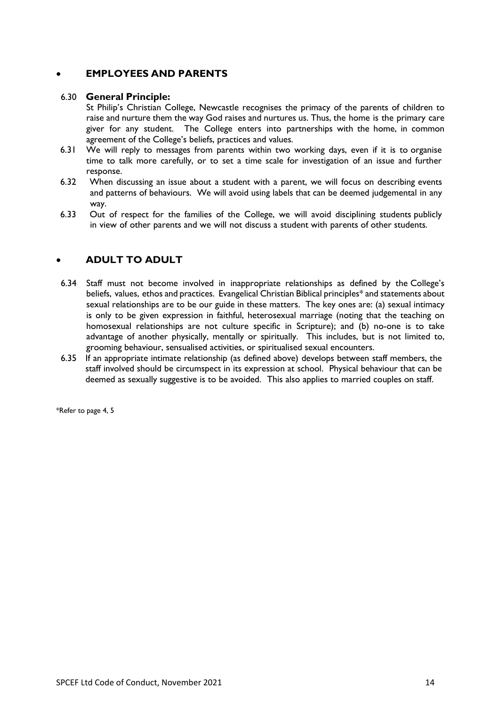## • **EMPLOYEES AND PARENTS**

#### 6.30 **General Principle:**

St Philip's Christian College, Newcastle recognises the primacy of the parents of children to raise and nurture them the way God raises and nurtures us. Thus, the home is the primary care giver for any student. The College enters into partnerships with the home, in common agreement of the College's beliefs, practices and values.

- 6.31 We will reply to messages from parents within two working days, even if it is to organise time to talk more carefully, or to set a time scale for investigation of an issue and further response.
- 6.32 When discussing an issue about a student with a parent, we will focus on describing events and patterns of behaviours. We will avoid using labels that can be deemed judgemental in any way.
- 6.33 Out of respect for the families of the College, we will avoid disciplining students publicly in view of other parents and we will not discuss a student with parents of other students.

# • **ADULT TO ADULT**

- 6.34 Staff must not become involved in inappropriate relationships as defined by the College's beliefs, values, ethos and practices. Evangelical Christian Biblical principles\* and statements about sexual relationships are to be our guide in these matters. The key ones are: (a) sexual intimacy is only to be given expression in faithful, heterosexual marriage (noting that the teaching on homosexual relationships are not culture specific in Scripture); and (b) no-one is to take advantage of another physically, mentally or spiritually. This includes, but is not limited to, grooming behaviour, sensualised activities, or spiritualised sexual encounters.
- 6.35 If an appropriate intimate relationship (as defined above) develops between staff members, the staff involved should be circumspect in its expression at school. Physical behaviour that can be deemed as sexually suggestive is to be avoided. This also applies to married couples on staff.

\*Refer to page 4, 5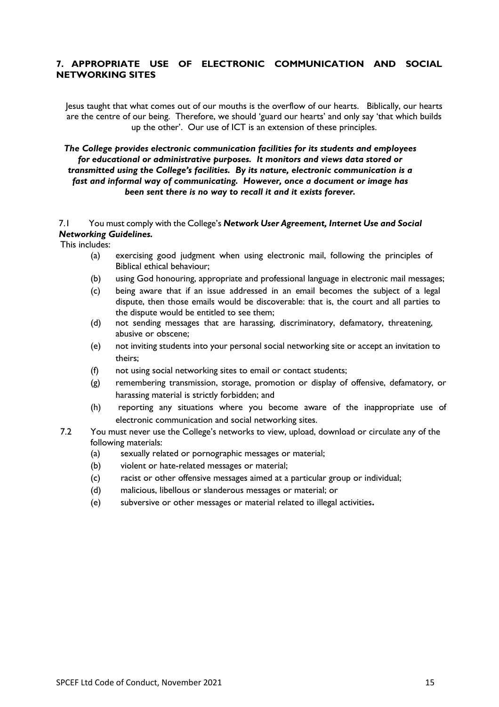## **7. APPROPRIATE USE OF ELECTRONIC COMMUNICATION AND SOCIAL NETWORKING SITES**

Jesus taught that what comes out of our mouths is the overflow of our hearts. Biblically, our hearts are the centre of our being. Therefore, we should 'guard our hearts' and only say 'that which builds up the other'. Our use of ICT is an extension of these principles.

#### *The College provides electronic communication facilities for its students and employees for educational or administrative purposes. It monitors and views data stored or transmitted using the College's facilities. By its nature, electronic communication is a fast and informal way of communicating. However, once a document or image has been sent there is no way to recall it and it exists forever.*

#### 7.1 You must comply with the College's *Network User Agreement, Internet Use and Social Networking Guidelines.*

This includes:

- (a) exercising good judgment when using electronic mail, following the principles of Biblical ethical behaviour;
- (b) using God honouring, appropriate and professional language in electronic mail messages;
- (c) being aware that if an issue addressed in an email becomes the subject of a legal dispute, then those emails would be discoverable: that is, the court and all parties to the dispute would be entitled to see them;
- (d) not sending messages that are harassing, discriminatory, defamatory, threatening, abusive or obscene;
- (e) not inviting students into your personal social networking site or accept an invitation to theirs;
- (f) not using social networking sites to email or contact students;
- (g) remembering transmission, storage, promotion or display of offensive, defamatory, or harassing material is strictly forbidden; and
- (h) reporting any situations where you become aware of the inappropriate use of electronic communication and social networking sites.
- 7.2 You must never use the College's networks to view, upload, download or circulate any of the following materials:
	- (a) sexually related or pornographic messages or material;
	- (b) violent or hate-related messages or material;
	- (c) racist or other offensive messages aimed at a particular group or individual;
	- (d) malicious, libellous or slanderous messages or material; or
	- (e) subversive or other messages or material related to illegal activities**.**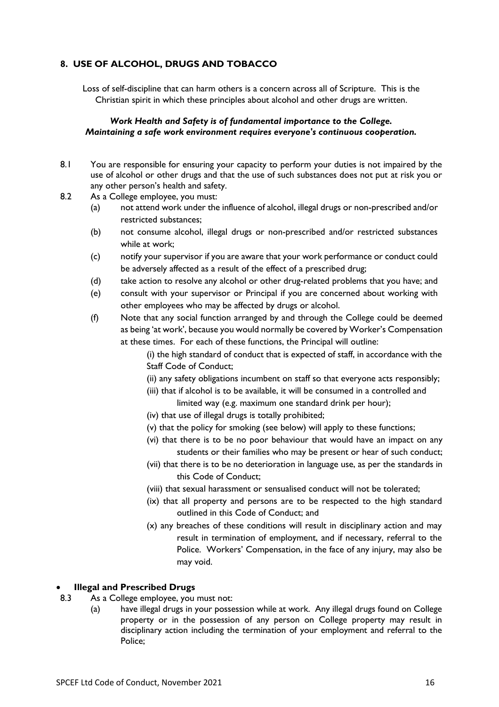## **8. USE OF ALCOHOL, DRUGS AND TOBACCO**

Loss of self-discipline that can harm others is a concern across all of Scripture. This is the Christian spirit in which these principles about alcohol and other drugs are written.

## *Work Health and Safety is of fundamental importance to the College. Maintaining a safe work environment requires everyone's continuous cooperation.*

- 8.1 You are responsible for ensuring your capacity to perform your duties is not impaired by the use of alcohol or other drugs and that the use of such substances does not put at risk you or any other person's health and safety.
- 8.2 As a College employee, you must:
	- (a) not attend work under the influence of alcohol, illegal drugs or non-prescribed and/or restricted substances;
	- (b) not consume alcohol, illegal drugs or non-prescribed and/or restricted substances while at work;
	- (c) notify your supervisor if you are aware that your work performance or conduct could be adversely affected as a result of the effect of a prescribed drug;
	- (d) take action to resolve any alcohol or other drug-related problems that you have; and
	- (e) consult with your supervisor or Principal if you are concerned about working with other employees who may be affected by drugs or alcohol.
	- (f) Note that any social function arranged by and through the College could be deemed as being 'at work', because you would normally be covered by Worker's Compensation at these times. For each of these functions, the Principal will outline:

(i) the high standard of conduct that is expected of staff, in accordance with the Staff Code of Conduct;

- (ii) any safety obligations incumbent on staff so that everyone acts responsibly;
- (iii) that if alcohol is to be available, it will be consumed in a controlled and

limited way (e.g. maximum one standard drink per hour);

- (iv) that use of illegal drugs is totally prohibited;
- (v) that the policy for smoking (see below) will apply to these functions;
- (vi) that there is to be no poor behaviour that would have an impact on any students or their families who may be present or hear of such conduct;
- (vii) that there is to be no deterioration in language use, as per the standards in this Code of Conduct;
- (viii) that sexual harassment or sensualised conduct will not be tolerated;
- (ix) that all property and persons are to be respected to the high standard outlined in this Code of Conduct; and
- (x) any breaches of these conditions will result in disciplinary action and may result in termination of employment, and if necessary, referral to the Police. Workers' Compensation, in the face of any injury, may also be may void.

## • **Illegal and Prescribed Drugs**

- 8.3 As a College employee, you must not:
	- (a) have illegal drugs in your possession while at work. Any illegal drugs found on College property or in the possession of any person on College property may result in disciplinary action including the termination of your employment and referral to the Police;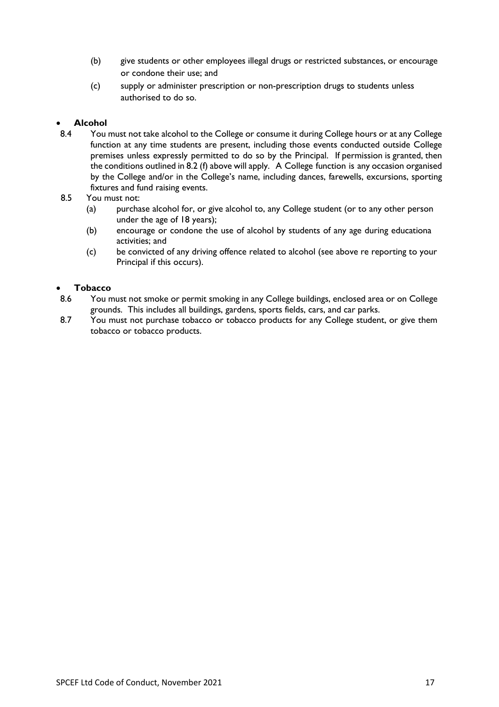- (b) give students or other employees illegal drugs or restricted substances, or encourage or condone their use; and
- (c) supply or administer prescription or non-prescription drugs to students unless authorised to do so.

## • **Alcohol**

- 8.4 You must not take alcohol to the College or consume it during College hours or at any College function at any time students are present, including those events conducted outside College premises unless expressly permitted to do so by the Principal. If permission is granted, then the conditions outlined in 8.2 (f) above will apply. A College function is any occasion organised by the College and/or in the College's name, including dances, farewells, excursions, sporting fixtures and fund raising events.
- 8.5 You must not:
	- (a) purchase alcohol for, or give alcohol to, any College student (or to any other person under the age of 18 years);
	- (b) encourage or condone the use of alcohol by students of any age during educationa activities; and
	- (c) be convicted of any driving offence related to alcohol (see above re reporting to your Principal if this occurs).

## • **Tobacco**

- 8.6 You must not smoke or permit smoking in any College buildings, enclosed area or on College grounds. This includes all buildings, gardens, sports fields, cars, and car parks.
- 8.7 You must not purchase tobacco or tobacco products for any College student, or give them tobacco or tobacco products.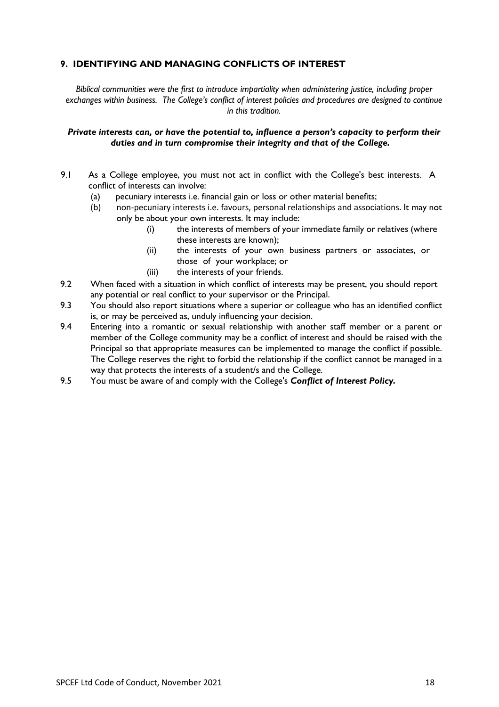## **9. IDENTIFYING AND MANAGING CONFLICTS OF INTEREST**

*Biblical communities were the first to introduce impartiality when administering justice, including proper exchanges within business. The College's conflict of interest policies and procedures are designed to continue in this tradition.*

#### *Private interests can, or have the potential to, influence a person's capacity to perform their duties and in turn compromise their integrity and that of the College.*

- 9.1 As a College employee, you must not act in conflict with the College's best interests. A conflict of interests can involve:
	- (a) pecuniary interests i.e. financial gain or loss or other material benefits;
	- (b) non-pecuniary interests i.e. favours, personal relationships and associations. It may not only be about your own interests. It may include:
		- (i) the interests of members of your immediate family or relatives (where these interests are known);
		- (ii) the interests of your own business partners or associates, or those of your workplace; or
		- (iii) the interests of your friends.
- 9.2 When faced with a situation in which conflict of interests may be present, you should report any potential or real conflict to your supervisor or the Principal.
- 9.3 You should also report situations where a superior or colleague who has an identified conflict is, or may be perceived as, unduly influencing your decision.
- 9.4 Entering into a romantic or sexual relationship with another staff member or a parent or member of the College community may be a conflict of interest and should be raised with the Principal so that appropriate measures can be implemented to manage the conflict if possible. The College reserves the right to forbid the relationship if the conflict cannot be managed in a way that protects the interests of a student/s and the College.
- 9.5 You must be aware of and comply with the College's *Conflict of Interest Policy.*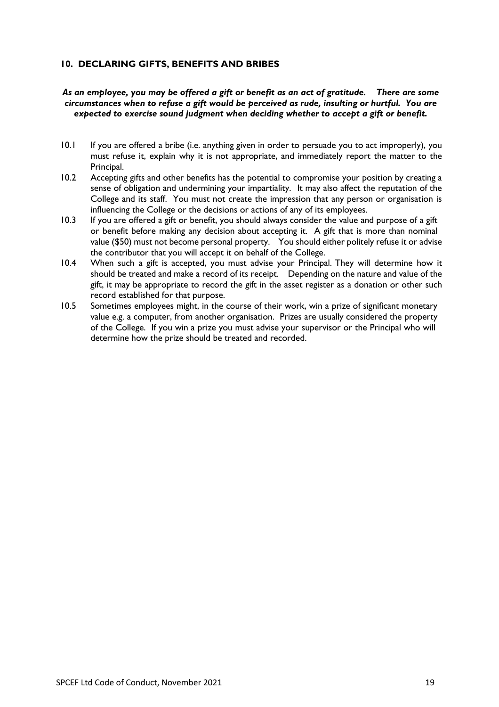## **10. DECLARING GIFTS, BENEFITS AND BRIBES**

## *As an employee, you may be offered a gift or benefit as an act of gratitude. There are some circumstances when to refuse a gift would be perceived as rude, insulting or hurtful. You are expected to exercise sound judgment when deciding whether to accept a gift or benefit.*

- 10.1 If you are offered a bribe (i.e. anything given in order to persuade you to act improperly), you must refuse it, explain why it is not appropriate, and immediately report the matter to the Principal.
- 10.2 Accepting gifts and other benefits has the potential to compromise your position by creating a sense of obligation and undermining your impartiality. It may also affect the reputation of the College and its staff. You must not create the impression that any person or organisation is influencing the College or the decisions or actions of any of its employees.
- 10.3 If you are offered a gift or benefit, you should always consider the value and purpose of a gift or benefit before making any decision about accepting it. A gift that is more than nominal value (\$50) must not become personal property. You should either politely refuse it or advise the contributor that you will accept it on behalf of the College.
- 10.4 When such a gift is accepted, you must advise your Principal. They will determine how it should be treated and make a record of its receipt. Depending on the nature and value of the gift, it may be appropriate to record the gift in the asset register as a donation or other such record established for that purpose.
- 10.5 Sometimes employees might, in the course of their work, win a prize of significant monetary value e.g. a computer, from another organisation. Prizes are usually considered the property of the College. If you win a prize you must advise your supervisor or the Principal who will determine how the prize should be treated and recorded.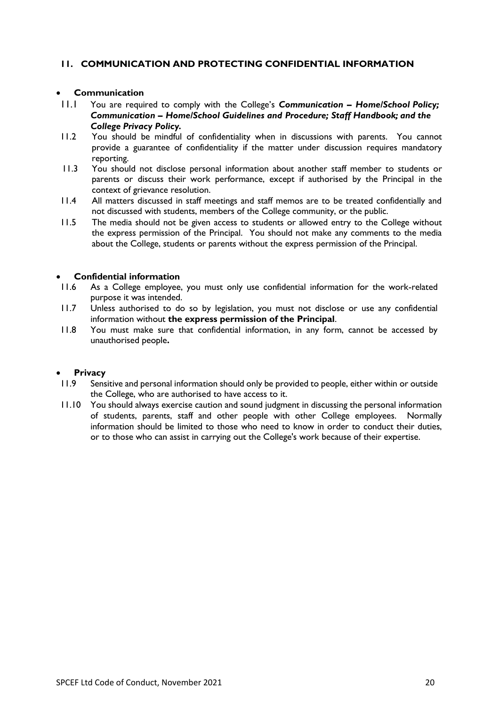## **11. COMMUNICATION AND PROTECTING CONFIDENTIAL INFORMATION**

## • **Communication**

- 11.1 You are required to comply with the College's *Communication – Home/School Policy; Communication – Home/School Guidelines and Procedure; Staff Handbook; and the College Privacy Policy.*
- 11.2 You should be mindful of confidentiality when in discussions with parents. You cannot provide a guarantee of confidentiality if the matter under discussion requires mandatory reporting.
- 11.3 You should not disclose personal information about another staff member to students or parents or discuss their work performance, except if authorised by the Principal in the context of grievance resolution.
- 11.4 All matters discussed in staff meetings and staff memos are to be treated confidentially and not discussed with students, members of the College community, or the public.
- 11.5 The media should not be given access to students or allowed entry to the College without the express permission of the Principal. You should not make any comments to the media about the College, students or parents without the express permission of the Principal.

#### • **Confidential information**

- 11.6 As a College employee, you must only use confidential information for the work-related purpose it was intended.
- 11.7 Unless authorised to do so by legislation, you must not disclose or use any confidential information without **the express permission of the Principal**.
- 11.8 You must make sure that confidential information, in any form, cannot be accessed by unauthorised people**.**

#### • **Privacy**

- 11.9 Sensitive and personal information should only be provided to people, either within or outside the College, who are authorised to have access to it.
- 11.10 You should always exercise caution and sound judgment in discussing the personal information of students, parents, staff and other people with other College employees. Normally information should be limited to those who need to know in order to conduct their duties, or to those who can assist in carrying out the College's work because of their expertise.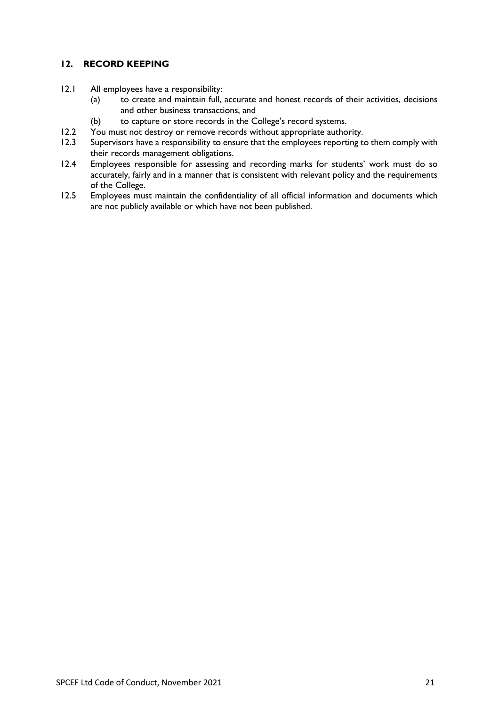## **12. RECORD KEEPING**

- 12.1 All employees have a responsibility:
	- (a) to create and maintain full, accurate and honest records of their activities, decisions and other business transactions, and
	- (b) to capture or store records in the College's record systems.
- 12.2 You must not destroy or remove records without appropriate authority.<br>12.3 Supervisors have a responsibility to ensure that the employees reporting to
- Supervisors have a responsibility to ensure that the employees reporting to them comply with their records management obligations.
- 12.4 Employees responsible for assessing and recording marks for students' work must do so accurately, fairly and in a manner that is consistent with relevant policy and the requirements of the College.
- 12.5 Employees must maintain the confidentiality of all official information and documents which are not publicly available or which have not been published.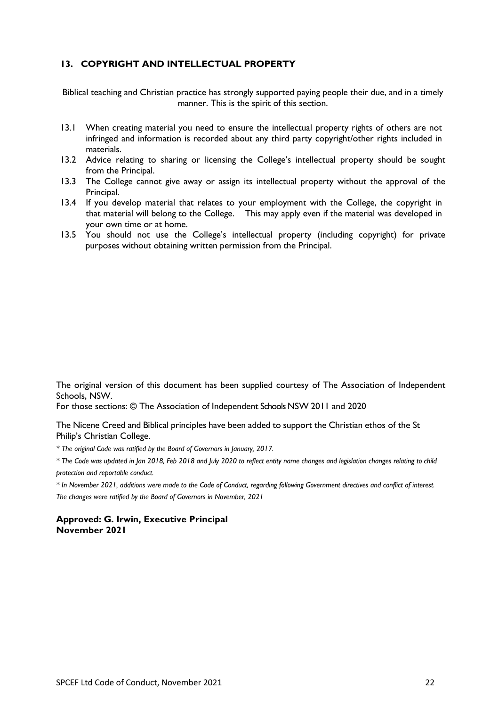## **13. COPYRIGHT AND INTELLECTUAL PROPERTY**

Biblical teaching and Christian practice has strongly supported paying people their due, and in a timely manner. This is the spirit of this section.

- 13.1 When creating material you need to ensure the intellectual property rights of others are not infringed and information is recorded about any third party copyright/other rights included in materials.
- 13.2 Advice relating to sharing or licensing the College's intellectual property should be sought from the Principal.
- 13.3 The College cannot give away or assign its intellectual property without the approval of the Principal.
- 13.4 If you develop material that relates to your employment with the College, the copyright in that material will belong to the College. This may apply even if the material was developed in your own time or at home.
- 13.5 You should not use the College's intellectual property (including copyright) for private purposes without obtaining written permission from the Principal.

The original version of this document has been supplied courtesy of The Association of Independent Schools, NSW.

For those sections: © The Association of Independent Schools NSW 2011 and 2020

The Nicene Creed and Biblical principles have been added to support the Christian ethos of the St Philip's Christian College.

*\* The original Code was ratified by the Board of Governors in January, 2017.* 

*\* The Code was updated in Jan 2018, Feb 2018 and July 2020 to reflect entity name changes and legislation changes relating to child protection and reportable conduct.*

*\* In November 2021, additions were made to the Code of Conduct, regarding following Government directives and conflict of interest. The changes were ratified by the Board of Governors in November, 2021*

#### **Approved: G. Irwin, Executive Principal November 2021**